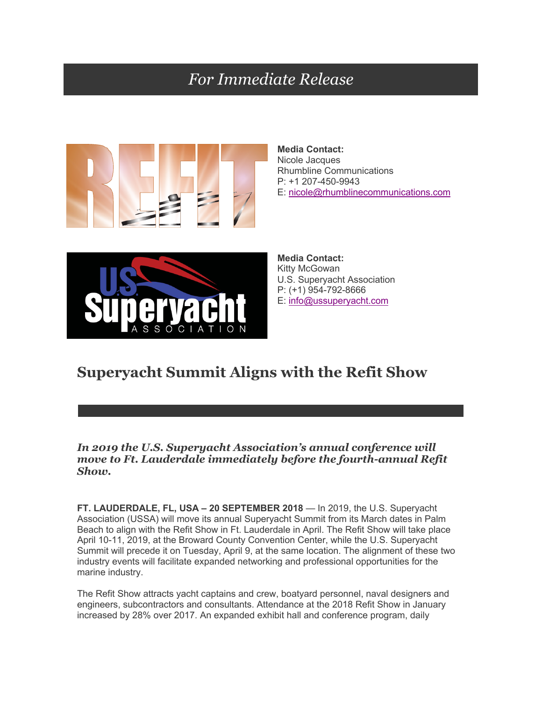## *For Immediate Release*



**Media Contact:** Nicole Jacques Rhumbline Communications P: +1 207-450-9943 E: nicole@rhumblinecommunications.com



**Media Contact:** Kitty McGowan U.S. Superyacht Association P: (+1) 954-792-8666 E: info@ussuperyacht.com

## **Superyacht Summit Aligns with the Refit Show**

*In 2019 the U.S. Superyacht Association's annual conference will move to Ft. Lauderdale immediately before the fourth-annual Refit Show.*

**FT. LAUDERDALE, FL, USA – 20 SEPTEMBER 2018** — In 2019, the U.S. Superyacht Association (USSA) will move its annual Superyacht Summit from its March dates in Palm Beach to align with the Refit Show in Ft. Lauderdale in April. The Refit Show will take place April 10-11, 2019, at the Broward County Convention Center, while the U.S. Superyacht Summit will precede it on Tuesday, April 9, at the same location. The alignment of these two industry events will facilitate expanded networking and professional opportunities for the marine industry.

The Refit Show attracts yacht captains and crew, boatyard personnel, naval designers and engineers, subcontractors and consultants. Attendance at the 2018 Refit Show in January increased by 28% over 2017. An expanded exhibit hall and conference program, daily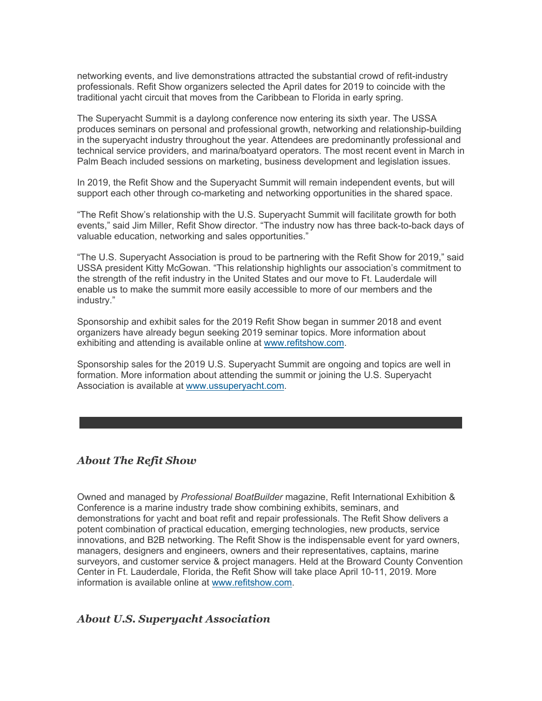networking events, and live demonstrations attracted the substantial crowd of refit-industry professionals. Refit Show organizers selected the April dates for 2019 to coincide with the traditional yacht circuit that moves from the Caribbean to Florida in early spring.

The Superyacht Summit is a daylong conference now entering its sixth year. The USSA produces seminars on personal and professional growth, networking and relationship-building in the superyacht industry throughout the year. Attendees are predominantly professional and technical service providers, and marina/boatyard operators. The most recent event in March in Palm Beach included sessions on marketing, business development and legislation issues.

In 2019, the Refit Show and the Superyacht Summit will remain independent events, but will support each other through co-marketing and networking opportunities in the shared space.

"The Refit Show's relationship with the U.S. Superyacht Summit will facilitate growth for both events," said Jim Miller, Refit Show director. "The industry now has three back-to-back days of valuable education, networking and sales opportunities."

"The U.S. Superyacht Association is proud to be partnering with the Refit Show for 2019," said USSA president Kitty McGowan. "This relationship highlights our association's commitment to the strength of the refit industry in the United States and our move to Ft. Lauderdale will enable us to make the summit more easily accessible to more of our members and the industry."

Sponsorship and exhibit sales for the 2019 Refit Show began in summer 2018 and event organizers have already begun seeking 2019 seminar topics. More information about exhibiting and attending is available online at www.refitshow.com.

Sponsorship sales for the 2019 U.S. Superyacht Summit are ongoing and topics are well in formation. More information about attending the summit or joining the U.S. Superyacht Association is available at www.ussuperyacht.com.

## *About The Refit Show*

Owned and managed by *Professional BoatBuilder* magazine, Refit International Exhibition & Conference is a marine industry trade show combining exhibits, seminars, and demonstrations for yacht and boat refit and repair professionals. The Refit Show delivers a potent combination of practical education, emerging technologies, new products, service innovations, and B2B networking. The Refit Show is the indispensable event for yard owners, managers, designers and engineers, owners and their representatives, captains, marine surveyors, and customer service & project managers. Held at the Broward County Convention Center in Ft. Lauderdale, Florida, the Refit Show will take place April 10-11, 2019. More information is available online at www.refitshow.com.

## *About U.S. Superyacht Association*